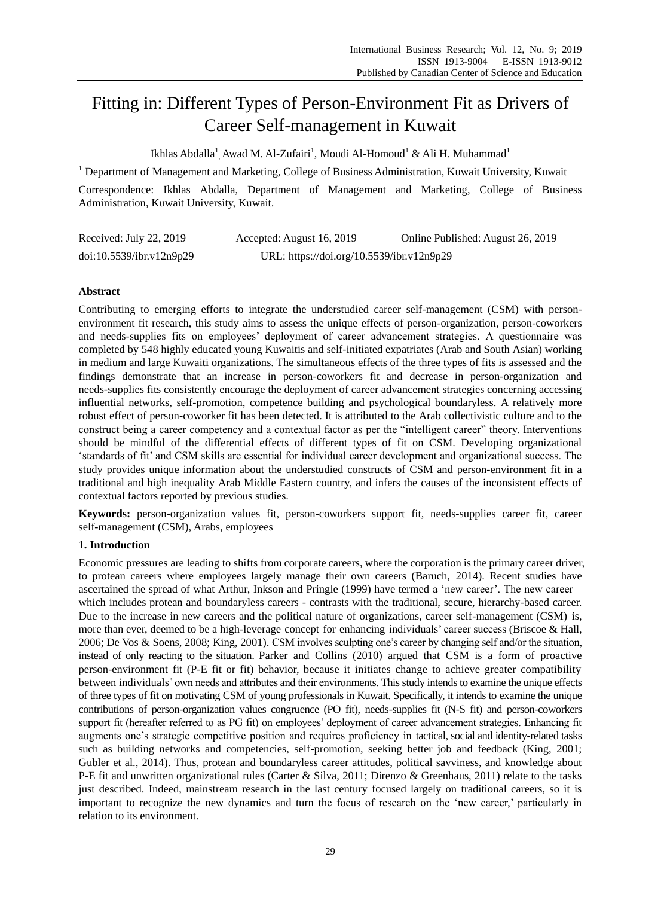# Fitting in: Different Types of Person-Environment Fit as Drivers of Career Self-management in Kuwait

Ikhlas Abdalla $^{\rm l}$ , Awad M. Al-Zufairi $^{\rm l}$ , Moudi Al-Homoud $^{\rm l}$  & Ali H. Muhammad $^{\rm l}$ 

<sup>1</sup> Department of Management and Marketing, College of Business Administration, Kuwait University, Kuwait

Correspondence: Ikhlas Abdalla, Department of Management and Marketing, College of Business Administration, Kuwait University, Kuwait.

| Received: July 22, 2019  | Accepted: August 16, 2019                 | Online Published: August 26, 2019 |
|--------------------------|-------------------------------------------|-----------------------------------|
| doi:10.5539/ibr.v12n9p29 | URL: https://doi.org/10.5539/ibr.v12n9p29 |                                   |

# **Abstract**

Contributing to emerging efforts to integrate the understudied career self-management (CSM) with personenvironment fit research, this study aims to assess the unique effects of person-organization, person-coworkers and needs-supplies fits on employees" deployment of career advancement strategies. A questionnaire was completed by 548 highly educated young Kuwaitis and self-initiated expatriates (Arab and South Asian) working in medium and large Kuwaiti organizations. The simultaneous effects of the three types of fits is assessed and the findings demonstrate that an increase in person-coworkers fit and decrease in person-organization and needs-supplies fits consistently encourage the deployment of career advancement strategies concerning accessing influential networks, self-promotion, competence building and psychological boundaryless. A relatively more robust effect of person-coworker fit has been detected. It is attributed to the Arab collectivistic culture and to the construct being a career competency and a contextual factor as per the "intelligent career" theory. Interventions should be mindful of the differential effects of different types of fit on CSM. Developing organizational "standards of fit" and CSM skills are essential for individual career development and organizational success. The study provides unique information about the understudied constructs of CSM and person-environment fit in a traditional and high inequality Arab Middle Eastern country, and infers the causes of the inconsistent effects of contextual factors reported by previous studies.

**Keywords:** person-organization values fit, person-coworkers support fit, needs-supplies career fit, career self-management (CSM), Arabs, employees

# **1. Introduction**

Economic pressures are leading to shifts from corporate careers, where the corporation is the primary career driver, to protean careers where employees largely manage their own careers (Baruch, 2014). Recent studies have ascertained the spread of what Arthur, Inkson and Pringle (1999) have termed a 'new career'. The new career – which includes protean and boundaryless careers - contrasts with the traditional, secure, hierarchy-based career. Due to the increase in new careers and the political nature of organizations, career self-management (CSM) is, more than ever, deemed to be a high-leverage concept for enhancing individuals' career success (Briscoe & Hall, 2006; De Vos & Soens, 2008; King, 2001). CSM involves sculpting one"s career by changing self and/or the situation, instead of only reacting to the situation. Parker and Collins (2010) argued that CSM is a form of proactive person-environment fit (P-E fit or fit) behavior, because it initiates change to achieve greater compatibility between individuals" own needs and attributes and their environments. This study intends to examine the unique effects of three types of fit on motivating CSM of young professionals in Kuwait. Specifically, it intends to examine the unique contributions of person-organization values congruence (PO fit), needs-supplies fit (N-S fit) and person-coworkers support fit (hereafter referred to as PG fit) on employees' deployment of career advancement strategies. Enhancing fit augments one"s strategic competitive position and requires proficiency in tactical, social and identity-related tasks such as building networks and competencies, self-promotion, seeking better job and feedback (King, 2001; Gubler et al., 2014). Thus, protean and boundaryless career attitudes, political savviness, and knowledge about P-E fit and unwritten organizational rules (Carter & Silva, 2011; Direnzo & Greenhaus, 2011) relate to the tasks just described. Indeed, mainstream research in the last century focused largely on traditional careers, so it is important to recognize the new dynamics and turn the focus of research on the "new career," particularly in relation to its environment.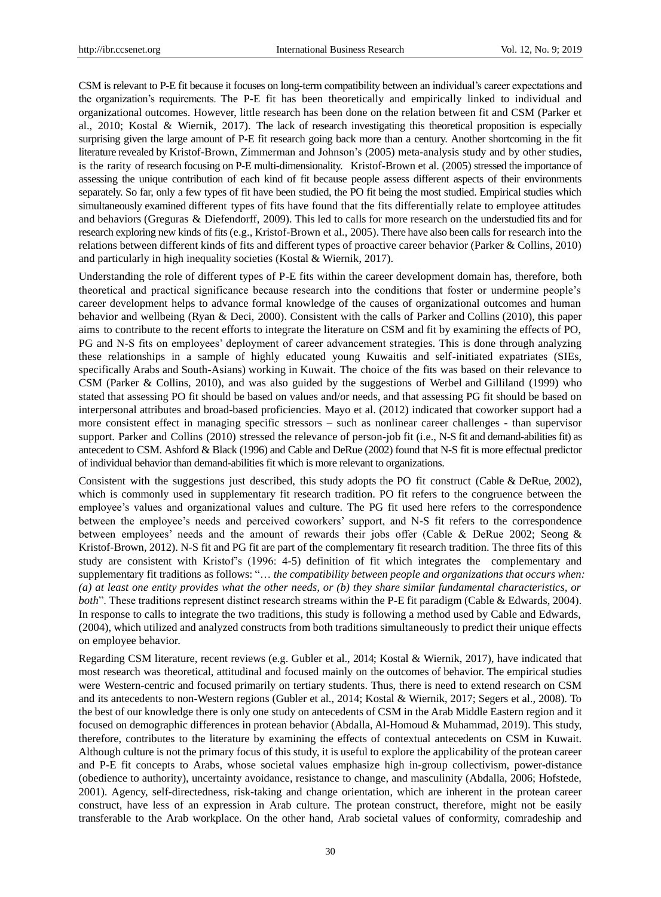CSM is relevant to P-E fit because it focuses on long-term compatibility between an individual's career expectations and the organization"s requirements. The P-E fit has been theoretically and empirically linked to individual and organizational outcomes. However, little research has been done on the relation between fit and CSM (Parker et al., 2010; Kostal & Wiernik, 2017). The lack of research investigating this theoretical proposition is especially surprising given the large amount of P-E fit research going back more than a century. Another shortcoming in the fit literature revealed by Kristof-Brown, Zimmerman and Johnson"s (2005) meta-analysis study and by other studies, is the rarity of research focusing on P-E multi-dimensionality. Kristof-Brown et al. (2005) stressed the importance of assessing the unique contribution of each kind of fit because people assess different aspects of their environments separately. So far, only a few types of fit have been studied, the PO fit being the most studied. Empirical studies which simultaneously examined different types of fits have found that the fits differentially relate to employee attitudes and behaviors (Greguras & Diefendorff, 2009). This led to calls for more research on the understudied fits and for research exploring new kinds of fits (e.g., Kristof-Brown et al., 2005). There have also been calls for research into the relations between different kinds of fits and different types of proactive career behavior (Parker & Collins, 2010) and particularly in high inequality societies (Kostal & Wiernik, 2017).

Understanding the role of different types of P-E fits within the career development domain has, therefore, both theoretical and practical significance because research into the conditions that foster or undermine people"s career development helps to advance formal knowledge of the causes of organizational outcomes and human behavior and wellbeing (Ryan & Deci, 2000). Consistent with the calls of Parker and Collins (2010), this paper aims to contribute to the recent efforts to integrate the literature on CSM and fit by examining the effects of PO, PG and N-S fits on employees" deployment of career advancement strategies. This is done through analyzing these relationships in a sample of highly educated young Kuwaitis and self-initiated expatriates (SIEs, specifically Arabs and South-Asians) working in Kuwait. The choice of the fits was based on their relevance to CSM (Parker & Collins, 2010), and was also guided by the suggestions of Werbel and Gilliland (1999) who stated that assessing PO fit should be based on values and/or needs, and that assessing PG fit should be based on interpersonal attributes and broad-based proficiencies. Mayo et al. (2012) indicated that coworker support had a more consistent effect in managing specific stressors – such as nonlinear career challenges - than supervisor support. Parker and Collins (2010) stressed the relevance of person-job fit (i.e., N-S fit and demand-abilities fit) as antecedent to CSM. Ashford & Black (1996) and Cable and DeRue (2002) found that N-S fit is more effectual predictor of individual behavior than demand-abilities fit which is more relevant to organizations.

Consistent with the suggestions just described, this study adopts the PO fit construct (Cable & DeRue, 2002), which is commonly used in supplementary fit research tradition. PO fit refers to the congruence between the employee"s values and organizational values and culture. The PG fit used here refers to the correspondence between the employee's needs and perceived coworkers' support, and N-S fit refers to the correspondence between employees" needs and the amount of rewards their jobs offer (Cable & DeRue 2002; Seong & Kristof-Brown, 2012). N-S fit and PG fit are part of the complementary fit research tradition. The three fits of this study are consistent with Kristof"s (1996: 4-5) definition of fit which integrates the complementary and supplementary fit traditions as follows: "… *the compatibility between people and organizations that occurs when: (a) at least one entity provides what the other needs, or (b) they share similar fundamental characteristics, or both*". These traditions represent distinct research streams within the P-E fit paradigm (Cable & Edwards, 2004). In response to calls to integrate the two traditions, this study is following a method used by Cable and Edwards, (2004), which utilized and analyzed constructs from both traditions simultaneously to predict their unique effects on employee behavior.

Regarding CSM literature, recent reviews (e.g. Gubler et al., 2014; Kostal & Wiernik, 2017), have indicated that most research was theoretical, attitudinal and focused mainly on the outcomes of behavior. The empirical studies were Western-centric and focused primarily on tertiary students. Thus, there is need to extend research on CSM and its antecedents to non-Western regions (Gubler et al., 2014; Kostal & Wiernik, 2017; Segers et al., 2008). To the best of our knowledge there is only one study on antecedents of CSM in the Arab Middle Eastern region and it focused on demographic differences in protean behavior (Abdalla, Al-Homoud & Muhammad, 2019). This study, therefore, contributes to the literature by examining the effects of contextual antecedents on CSM in Kuwait. Although culture is not the primary focus of this study, it is useful to explore the applicability of the protean career and P-E fit concepts to Arabs, whose societal values emphasize high in-group collectivism, power-distance (obedience to authority), uncertainty avoidance, resistance to change, and masculinity (Abdalla, 2006; Hofstede, 2001). Agency, self-directedness, risk-taking and change orientation, which are inherent in the protean career construct, have less of an expression in Arab culture. The protean construct, therefore, might not be easily transferable to the Arab workplace. On the other hand, Arab societal values of conformity, comradeship and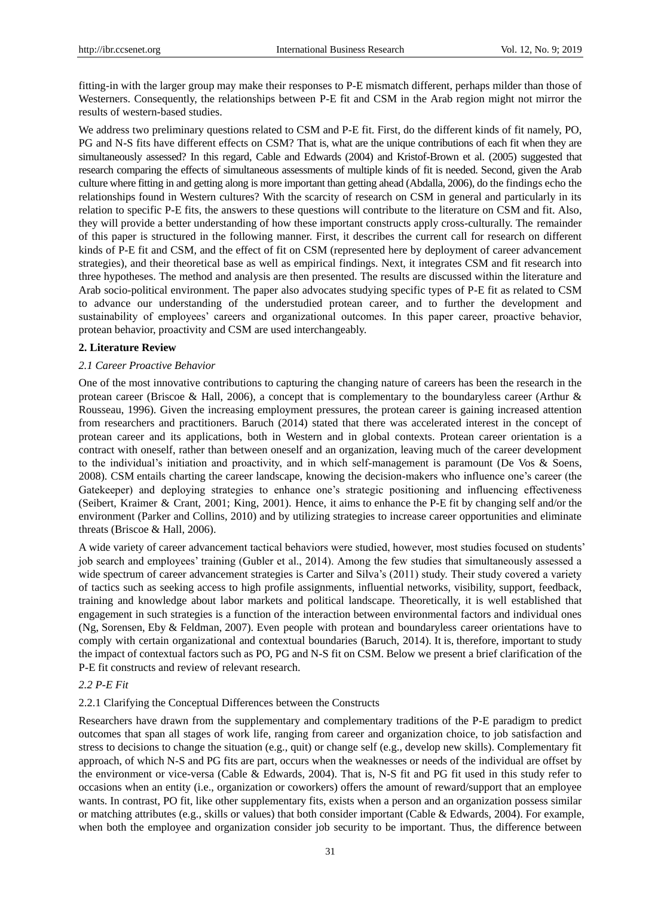fitting-in with the larger group may make their responses to P-E mismatch different, perhaps milder than those of Westerners. Consequently, the relationships between P-E fit and CSM in the Arab region might not mirror the results of western-based studies.

We address two preliminary questions related to CSM and P-E fit. First, do the different kinds of fit namely, PO, PG and N-S fits have different effects on CSM? That is, what are the unique contributions of each fit when they are simultaneously assessed? In this regard, Cable and Edwards (2004) and Kristof-Brown et al. (2005) suggested that research comparing the effects of simultaneous assessments of multiple kinds of fit is needed. Second, given the Arab culture where fitting in and getting along is more important than getting ahead (Abdalla, 2006), do the findings echo the relationships found in Western cultures? With the scarcity of research on CSM in general and particularly in its relation to specific P-E fits, the answers to these questions will contribute to the literature on CSM and fit. Also, they will provide a better understanding of how these important constructs apply cross-culturally. The remainder of this paper is structured in the following manner. First, it describes the current call for research on different kinds of P-E fit and CSM, and the effect of fit on CSM (represented here by deployment of career advancement strategies), and their theoretical base as well as empirical findings. Next, it integrates CSM and fit research into three hypotheses. The method and analysis are then presented. The results are discussed within the literature and Arab socio-political environment. The paper also advocates studying specific types of P-E fit as related to CSM to advance our understanding of the understudied protean career, and to further the development and sustainability of employees' careers and organizational outcomes. In this paper career, proactive behavior, protean behavior, proactivity and CSM are used interchangeably.

## **2. Literature Review**

## *2.1 Career Proactive Behavior*

One of the most innovative contributions to capturing the changing nature of careers has been the research in the protean career (Briscoe & Hall, 2006), a concept that is complementary to the boundaryless career (Arthur & Rousseau, 1996). Given the increasing employment pressures, the protean career is gaining increased attention from researchers and practitioners. Baruch (2014) stated that there was accelerated interest in the concept of protean career and its applications, both in Western and in global contexts. Protean career orientation is a contract with oneself, rather than between oneself and an organization, leaving much of the career development to the individual's initiation and proactivity, and in which self-management is paramount (De Vos & Soens, 2008). CSM entails charting the career landscape, knowing the decision-makers who influence one"s career (the Gatekeeper) and deploying strategies to enhance one's strategic positioning and influencing effectiveness (Seibert, Kraimer & Crant, 2001; King, 2001). Hence, it aims to enhance the P-E fit by changing self and/or the environment (Parker and Collins, 2010) and by utilizing strategies to increase career opportunities and eliminate threats (Briscoe & Hall, 2006).

A wide variety of career advancement tactical behaviors were studied, however, most studies focused on students" job search and employees" training (Gubler et al., 2014). Among the few studies that simultaneously assessed a wide spectrum of career advancement strategies is Carter and Silva's (2011) study. Their study covered a variety of tactics such as seeking access to high profile assignments, influential networks, visibility, support, feedback, training and knowledge about labor markets and political landscape. Theoretically, it is well established that engagement in such strategies is a function of the interaction between environmental factors and individual ones (Ng, Sorensen, Eby & Feldman, 2007). Even people with protean and boundaryless career orientations have to comply with certain organizational and contextual boundaries (Baruch, 2014). It is, therefore, important to study the impact of contextual factors such as PO, PG and N-S fit on CSM. Below we present a brief clarification of the P-E fit constructs and review of relevant research.

# *2.2 P-E Fit*

# 2.2.1 Clarifying the Conceptual Differences between the Constructs

Researchers have drawn from the supplementary and complementary traditions of the P-E paradigm to predict outcomes that span all stages of work life, ranging from career and organization choice, to job satisfaction and stress to decisions to change the situation (e.g., quit) or change self (e.g., develop new skills). Complementary fit approach, of which N-S and PG fits are part, occurs when the weaknesses or needs of the individual are offset by the environment or vice-versa (Cable & Edwards, 2004). That is, N-S fit and PG fit used in this study refer to occasions when an entity (i.e., organization or coworkers) offers the amount of reward/support that an employee wants. In contrast, PO fit, like other supplementary fits, exists when a person and an organization possess similar or matching attributes (e.g., skills or values) that both consider important (Cable & Edwards, 2004). For example, when both the employee and organization consider job security to be important. Thus, the difference between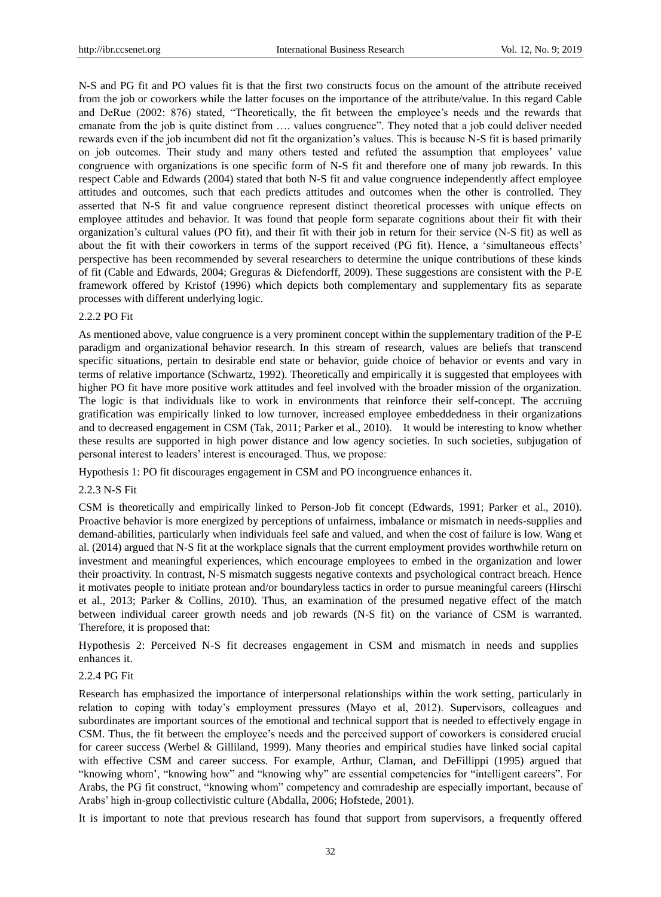N-S and PG fit and PO values fit is that the first two constructs focus on the amount of the attribute received from the job or coworkers while the latter focuses on the importance of the attribute/value. In this regard Cable and DeRue (2002: 876) stated, "Theoretically, the fit between the employee's needs and the rewards that emanate from the job is quite distinct from …. values congruence". They noted that a job could deliver needed rewards even if the job incumbent did not fit the organization"s values. This is because N-S fit is based primarily on job outcomes. Their study and many others tested and refuted the assumption that employees" value congruence with organizations is one specific form of N-S fit and therefore one of many job rewards. In this respect Cable and Edwards (2004) stated that both N-S fit and value congruence independently affect employee attitudes and outcomes, such that each predicts attitudes and outcomes when the other is controlled. They asserted that N-S fit and value congruence represent distinct theoretical processes with unique effects on employee attitudes and behavior. It was found that people form separate cognitions about their fit with their organization"s cultural values (PO fit), and their fit with their job in return for their service (N-S fit) as well as about the fit with their coworkers in terms of the support received (PG fit). Hence, a 'simultaneous effects' perspective has been recommended by several researchers to determine the unique contributions of these kinds of fit (Cable and Edwards, 2004; Greguras & Diefendorff, 2009). These suggestions are consistent with the P-E framework offered by Kristof (1996) which depicts both complementary and supplementary fits as separate processes with different underlying logic.

## 2.2.2 PO Fit

As mentioned above, value congruence is a very prominent concept within the supplementary tradition of the P-E paradigm and organizational behavior research. In this stream of research, values are beliefs that transcend specific situations, pertain to desirable end state or behavior, guide choice of behavior or events and vary in terms of relative importance (Schwartz, 1992). Theoretically and empirically it is suggested that employees with higher PO fit have more positive work attitudes and feel involved with the broader mission of the organization. The logic is that individuals like to work in environments that reinforce their self-concept. The accruing gratification was empirically linked to low turnover, increased employee embeddedness in their organizations and to decreased engagement in CSM (Tak, 2011; Parker et al., 2010). It would be interesting to know whether these results are supported in high power distance and low agency societies. In such societies, subjugation of personal interest to leaders" interest is encouraged. Thus, we propose:

Hypothesis 1: PO fit discourages engagement in CSM and PO incongruence enhances it.

#### 2.2.3 N-S Fit

CSM is theoretically and empirically linked to Person-Job fit concept (Edwards, 1991; Parker et al., 2010). Proactive behavior is more energized by perceptions of unfairness, imbalance or mismatch in needs-supplies and demand-abilities, particularly when individuals feel safe and valued, and when the cost of failure is low. Wang et al. (2014) argued that N-S fit at the workplace signals that the current employment provides worthwhile return on investment and meaningful experiences, which encourage employees to embed in the organization and lower their proactivity. In contrast, N-S mismatch suggests negative contexts and psychological contract breach. Hence it motivates people to initiate protean and/or boundaryless tactics in order to pursue meaningful careers (Hirschi et al., 2013; Parker & Collins, 2010). Thus, an examination of the presumed negative effect of the match between individual career growth needs and job rewards (N-S fit) on the variance of CSM is warranted. Therefore, it is proposed that:

Hypothesis 2: Perceived N-S fit decreases engagement in CSM and mismatch in needs and supplies enhances it.

# 2.2.4 PG Fit

Research has emphasized the importance of interpersonal relationships within the work setting, particularly in relation to coping with today"s employment pressures (Mayo et al, 2012). Supervisors, colleagues and subordinates are important sources of the emotional and technical support that is needed to effectively engage in CSM. Thus, the fit between the employee's needs and the perceived support of coworkers is considered crucial for career success (Werbel & Gilliland, 1999). Many theories and empirical studies have linked social capital with effective CSM and career success. For example, Arthur, Claman, and DeFillippi (1995) argued that "knowing whom", "knowing how" and "knowing why" are essential competencies for "intelligent careers". For Arabs, the PG fit construct, "knowing whom" competency and comradeship are especially important, because of Arabs" high in-group collectivistic culture (Abdalla, 2006; Hofstede, 2001).

It is important to note that previous research has found that support from supervisors, a frequently offered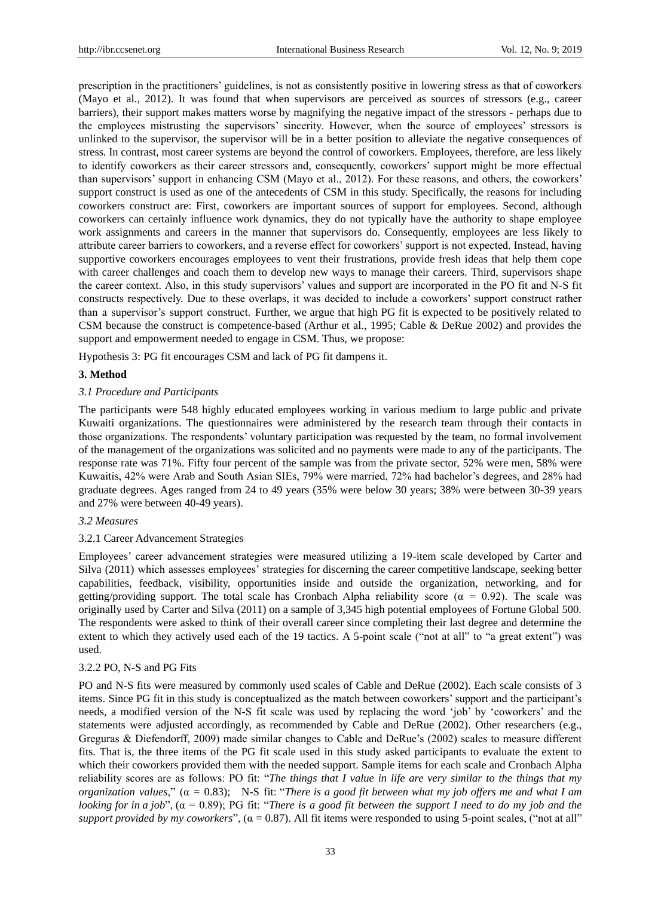prescription in the practitioners" guidelines, is not as consistently positive in lowering stress as that of coworkers (Mayo et al., 2012). It was found that when supervisors are perceived as sources of stressors (e.g., career barriers), their support makes matters worse by magnifying the negative impact of the stressors - perhaps due to the employees mistrusting the supervisors" sincerity. However, when the source of employees" stressors is unlinked to the supervisor, the supervisor will be in a better position to alleviate the negative consequences of stress. In contrast, most career systems are beyond the control of coworkers. Employees, therefore, are less likely to identify coworkers as their career stressors and, consequently, coworkers" support might be more effectual than supervisors" support in enhancing CSM (Mayo et al., 2012). For these reasons, and others, the coworkers" support construct is used as one of the antecedents of CSM in this study. Specifically, the reasons for including coworkers construct are: First, coworkers are important sources of support for employees. Second, although coworkers can certainly influence work dynamics, they do not typically have the authority to shape employee work assignments and careers in the manner that supervisors do. Consequently, employees are less likely to attribute career barriers to coworkers, and a reverse effect for coworkers" support is not expected. Instead, having supportive coworkers encourages employees to vent their frustrations, provide fresh ideas that help them cope with career challenges and coach them to develop new ways to manage their careers. Third, supervisors shape the career context. Also, in this study supervisors" values and support are incorporated in the PO fit and N-S fit constructs respectively. Due to these overlaps, it was decided to include a coworkers" support construct rather than a supervisor"s support construct. Further, we argue that high PG fit is expected to be positively related to CSM because the construct is competence-based (Arthur et al., 1995; Cable & DeRue 2002) and provides the support and empowerment needed to engage in CSM. Thus, we propose:

Hypothesis 3: PG fit encourages CSM and lack of PG fit dampens it.

#### **3. Method**

## *3.1 Procedure and Participants*

The participants were 548 highly educated employees working in various medium to large public and private Kuwaiti organizations. The questionnaires were administered by the research team through their contacts in those organizations. The respondents" voluntary participation was requested by the team, no formal involvement of the management of the organizations was solicited and no payments were made to any of the participants. The response rate was 71%. Fifty four percent of the sample was from the private sector, 52% were men, 58% were Kuwaitis, 42% were Arab and South Asian SIEs, 79% were married, 72% had bachelor's degrees, and 28% had graduate degrees. Ages ranged from 24 to 49 years (35% were below 30 years; 38% were between 30-39 years and 27% were between 40-49 years).

# *3.2 Measures*

#### 3.2.1 Career Advancement Strategies

Employees" career advancement strategies were measured utilizing a 19-item scale developed by Carter and Silva (2011) which assesses employees" strategies for discerning the career competitive landscape, seeking better capabilities, feedback, visibility, opportunities inside and outside the organization, networking, and for getting/providing support. The total scale has Cronbach Alpha reliability score ( $\alpha = 0.92$ ). The scale was originally used by Carter and Silva (2011) on a sample of 3,345 high potential employees of Fortune Global 500. The respondents were asked to think of their overall career since completing their last degree and determine the extent to which they actively used each of the 19 tactics. A 5-point scale ("not at all" to "a great extent") was used.

#### 3.2.2 PO, N-S and PG Fits

PO and N-S fits were measured by commonly used scales of Cable and DeRue (2002). Each scale consists of 3 items. Since PG fit in this study is conceptualized as the match between coworkers" support and the participant"s needs, a modified version of the N-S fit scale was used by replacing the word "job" by "coworkers" and the statements were adjusted accordingly, as recommended by Cable and DeRue (2002). Other researchers (e.g., Greguras & Diefendorff, 2009) made similar changes to Cable and DeRue"s (2002) scales to measure different fits. That is, the three items of the PG fit scale used in this study asked participants to evaluate the extent to which their coworkers provided them with the needed support. Sample items for each scale and Cronbach Alpha reliability scores are as follows: PO fit: "*The things that I value in life are very similar to the things that my organization values*," (α = 0.83); N-S fit: "*There is a good fit between what my job offers me and what I am looking* for in a job",  $(\alpha = 0.89)$ ; PG fit: "*There is a good fit between the support I need to do my job and the support provided by my coworkers*",  $(a = 0.87)$ . All fit items were responded to using 5-point scales, ("not at all"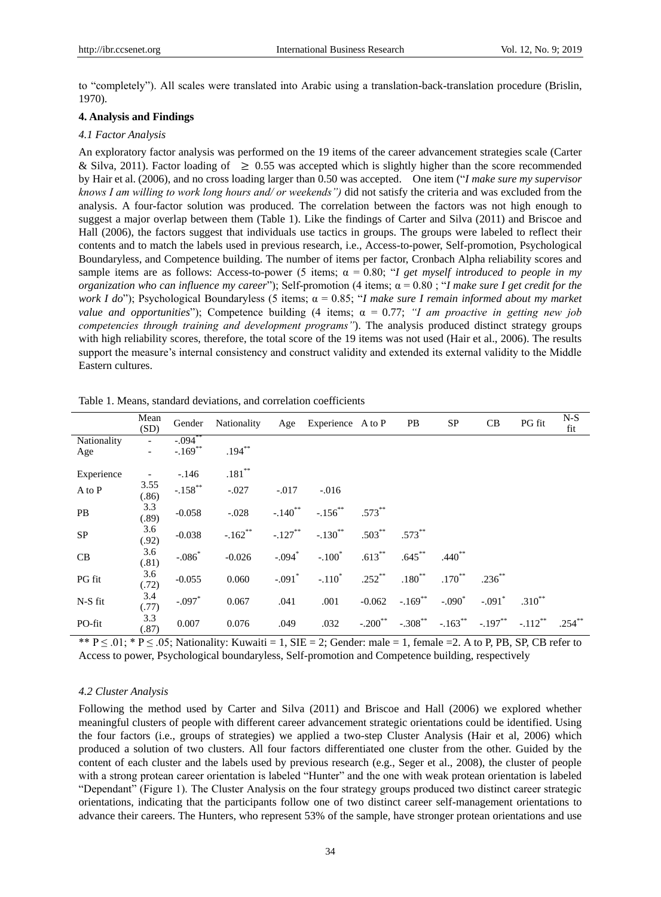to "completely"). All scales were translated into Arabic using a translation-back-translation procedure (Brislin, 1970).

#### **4. Analysis and Findings**

## *4.1 Factor Analysis*

An exploratory factor analysis was performed on the 19 items of the career advancement strategies scale (Carter & Silva, 2011). Factor loading of  $\geq 0.55$  was accepted which is slightly higher than the score recommended by Hair et al. (2006), and no cross loading larger than 0.50 was accepted. One item ("*I make sure my supervisor knows I am willing to work long hours and/ or weekends")* did not satisfy the criteria and was excluded from the analysis. A four-factor solution was produced. The correlation between the factors was not high enough to suggest a major overlap between them (Table 1). Like the findings of Carter and Silva (2011) and Briscoe and Hall (2006), the factors suggest that individuals use tactics in groups. The groups were labeled to reflect their contents and to match the labels used in previous research, i.e., Access-to-power, Self-promotion, Psychological Boundaryless, and Competence building. The number of items per factor, Cronbach Alpha reliability scores and sample items are as follows: Access-to-power (5 items;  $\alpha = 0.80$ ; "*I get myself introduced to people in my organization who can influence my career*"); Self-promotion (4 items; α = 0.80 ; "*I make sure I get credit for the work I do*"); Psychological Boundaryless (5 items; α = 0.85; "*I make sure I remain informed about my market value and opportunities*"); Competence building (4 items; α = 0.77; *"I am proactive in getting new job competencies through training and development programs"*). The analysis produced distinct strategy groups with high reliability scores, therefore, the total score of the 19 items was not used (Hair et al., 2006). The results support the measure's internal consistency and construct validity and extended its external validity to the Middle Eastern cultures.

|                    | Mean<br>(SD)  | Gender                 | Nationality |                       | Age Experience A to P |                       | PB                | SP          | CB                   | PG fit                | $N-S$<br>fit |
|--------------------|---------------|------------------------|-------------|-----------------------|-----------------------|-----------------------|-------------------|-------------|----------------------|-----------------------|--------------|
| Nationality<br>Age |               | $-0.094$<br>$-.169$ ** | $.194***$   |                       |                       |                       |                   |             |                      |                       |              |
| Experience         |               | $-146$                 | $.181***$   |                       |                       |                       |                   |             |                      |                       |              |
| A to P             | 3.55<br>(.86) | $-.158$ <sup>**</sup>  | $-.027$     | $-.017$               | $-0.016$              |                       |                   |             |                      |                       |              |
| PB                 | 3.3<br>(.89)  | $-0.058$               | $-.028$     | $-.140$ <sup>**</sup> | $-.156$ <sup>**</sup> | $.573**$              |                   |             |                      |                       |              |
| ${\rm SP}$         | 3.6<br>(.92)  | $-0.038$               | $-.162**$   | $-.127***$            | $-.130$ <sup>**</sup> | $.503***$             | $.573**$          |             |                      |                       |              |
| CB                 | 3.6<br>(.81)  | $-.086*$               | $-0.026$    | $-.094*$              | $-.100*$              | $.613***$             | $.645***$         | $.440^{**}$ |                      |                       |              |
| PG fit             | 3.6<br>(.72)  | $-0.055$               | 0.060       | $-.091$ <sup>*</sup>  | $-.110*$              | $.252$ **             | $.180^{\ast\ast}$ | $.170^{**}$ | $.236***$            |                       |              |
| N-S fit            | 3.4<br>(.77)  | $-.097*$               | 0.067       | .041                  | .001                  | $-0.062$              | $-.169**$         | $-.090*$    | $-.091$ <sup>*</sup> | $.310^{**}$           |              |
| PO-fit             | 3.3<br>(.87)  | 0.007                  | 0.076       | .049                  | .032                  | $-.200$ <sup>**</sup> | $-.308***$        | $-.163***$  | $-.197***$           | $-.112$ <sup>**</sup> | $.254***$    |

Table 1. Means, standard deviations, and correlation coefficients

\*\*  $P \le 0.01$ ; \*  $P \le 0.05$ ; Nationality: Kuwaiti = 1, SIE = 2; Gender: male = 1, female = 2. A to P, PB, SP, CB refer to Access to power, Psychological boundaryless, Self-promotion and Competence building, respectively

## *4.2 Cluster Analysis*

Following the method used by Carter and Silva (2011) and Briscoe and Hall (2006) we explored whether meaningful clusters of people with different career advancement strategic orientations could be identified. Using the four factors (i.e., groups of strategies) we applied a two-step Cluster Analysis (Hair et al, 2006) which produced a solution of two clusters. All four factors differentiated one cluster from the other. Guided by the content of each cluster and the labels used by previous research (e.g., Seger et al., 2008), the cluster of people with a strong protean career orientation is labeled "Hunter" and the one with weak protean orientation is labeled "Dependant" (Figure 1). The Cluster Analysis on the four strategy groups produced two distinct career strategic orientations, indicating that the participants follow one of two distinct career self-management orientations to advance their careers. The Hunters, who represent 53% of the sample, have stronger protean orientations and use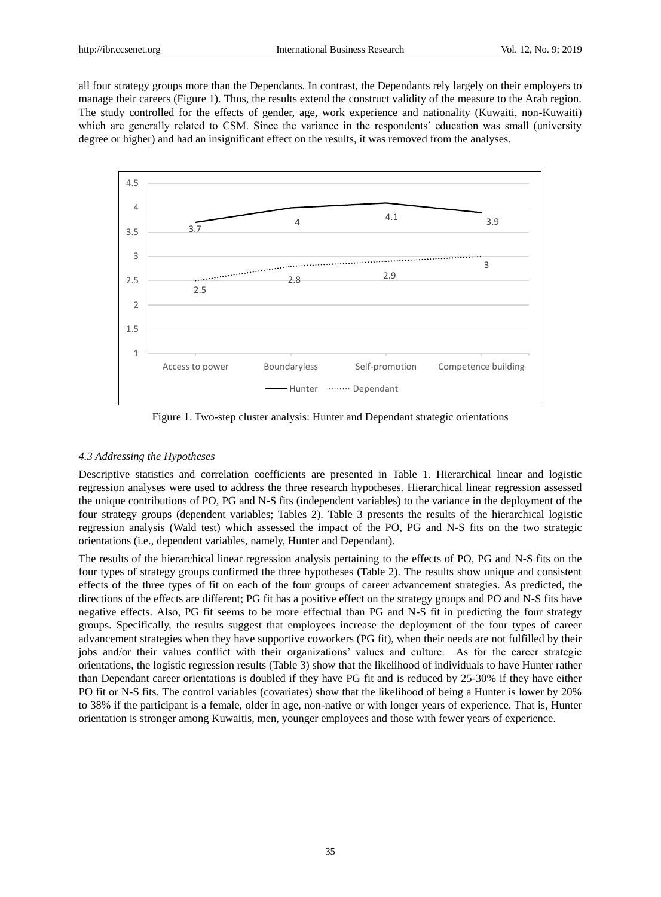all four strategy groups more than the Dependants. In contrast, the Dependants rely largely on their employers to manage their careers (Figure 1). Thus, the results extend the construct validity of the measure to the Arab region. The study controlled for the effects of gender, age, work experience and nationality (Kuwaiti, non-Kuwaiti) which are generally related to CSM. Since the variance in the respondents' education was small (university degree or higher) and had an insignificant effect on the results, it was removed from the analyses.



Figure 1. Two-step cluster analysis: Hunter and Dependant strategic orientations

#### *4.3 Addressing the Hypotheses*

Descriptive statistics and correlation coefficients are presented in Table 1. Hierarchical linear and logistic regression analyses were used to address the three research hypotheses. Hierarchical linear regression assessed the unique contributions of PO, PG and N-S fits (independent variables) to the variance in the deployment of the four strategy groups (dependent variables; Tables 2). Table 3 presents the results of the hierarchical logistic regression analysis (Wald test) which assessed the impact of the PO, PG and N-S fits on the two strategic orientations (i.e., dependent variables, namely, Hunter and Dependant).

The results of the hierarchical linear regression analysis pertaining to the effects of PO, PG and N-S fits on the four types of strategy groups confirmed the three hypotheses (Table 2). The results show unique and consistent effects of the three types of fit on each of the four groups of career advancement strategies. As predicted, the directions of the effects are different; PG fit has a positive effect on the strategy groups and PO and N-S fits have negative effects. Also, PG fit seems to be more effectual than PG and N-S fit in predicting the four strategy groups. Specifically, the results suggest that employees increase the deployment of the four types of career advancement strategies when they have supportive coworkers (PG fit), when their needs are not fulfilled by their jobs and/or their values conflict with their organizations' values and culture. As for the career strategic orientations, the logistic regression results (Table 3) show that the likelihood of individuals to have Hunter rather than Dependant career orientations is doubled if they have PG fit and is reduced by 25-30% if they have either PO fit or N-S fits. The control variables (covariates) show that the likelihood of being a Hunter is lower by 20% to 38% if the participant is a female, older in age, non-native or with longer years of experience. That is, Hunter orientation is stronger among Kuwaitis, men, younger employees and those with fewer years of experience.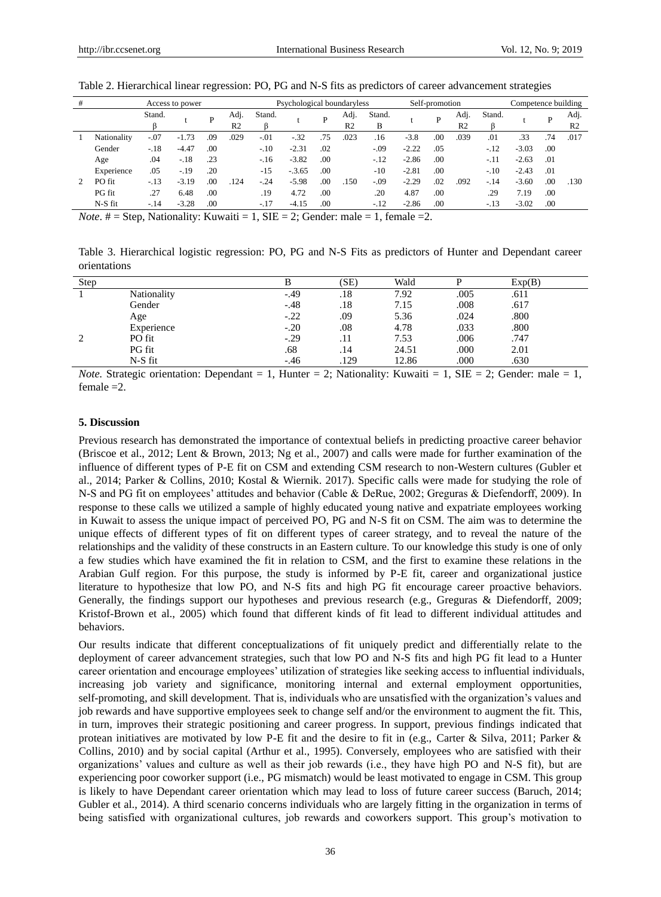| #<br>Access to power |                      |          |                | Psychological boundaryless |                        |                                                  |               | Self-promotion |                        |             |         | Competence building |                        |        |         |     |                        |
|----------------------|----------------------|----------|----------------|----------------------------|------------------------|--------------------------------------------------|---------------|----------------|------------------------|-------------|---------|---------------------|------------------------|--------|---------|-----|------------------------|
|                      |                      | Stand.   |                | P                          | Adj.<br>R <sub>2</sub> | Stand.                                           |               | P              | Adj.<br>R <sub>2</sub> | Stand.<br>В |         | D                   | Adj.<br>R <sub>2</sub> | Stand. |         | D   | Adj.<br>R <sub>2</sub> |
|                      | Nationality          | $-.07$   | $-1.73$        | .09                        | .029                   | $-.01$                                           | -.32          | .75            | .023                   | .16         | $-3.8$  | .00                 | .039                   | .01    | .33     | .74 | .017                   |
|                      | Gender               | $-.18$   | $-4.47$        | .00                        |                        | $-.10$                                           | $-2.31$       | .02            |                        | $-.09$      | $-2.22$ | .05                 |                        | $-.12$ | $-3.03$ | .00 |                        |
|                      | Age                  | .04      | $-.18$         | .23                        |                        | $-.16$                                           | $-3.82$       | .00            |                        | $-.12$      | $-2.86$ | .00                 |                        | $-.11$ | $-2.63$ | .01 |                        |
|                      | Experience           | .05      | $-.19$         | .20                        |                        | $-15$                                            | $-.3.65$      | .00            |                        | $-10$       | $-2.81$ | .00                 |                        | $-.10$ | $-2.43$ | .01 |                        |
|                      | PO fit               | $-.13$   | $-3.19$        | .00                        | .124                   | $-.24$                                           | $-5.98$       | .00            | .150                   | $-.09$      | $-2.29$ | .02                 | .092                   | $-.14$ | $-3.60$ | .00 | .130                   |
|                      | PG fit               | .27      | 6.48           | .00                        |                        | .19                                              | 4.72          | .00            |                        | .20         | 4.87    | .00.                |                        | .29    | 7.19    | .00 |                        |
|                      | $N-S$ fit            | $-.14$   | $-3.28$        | .00                        |                        | $-.17$                                           | $-4.15$       | .00            |                        | $-.12$      | $-2.86$ | .00                 |                        | $-.13$ | $-3.02$ | .00 |                        |
| $\mathbf{v}$         | $\sim$ $\sim$ $\sim$ | $\cdots$ | $\blacksquare$ | $\mathbf{r}$               | $\bullet$ . $\bullet$  | $\sim$ $\sim$ $\sim$<br>$\overline{\phantom{a}}$ | $\sim$ $\sim$ | $\sim$         |                        | $\sim$      | $\sim$  |                     |                        |        |         |     |                        |

#### Table 2. Hierarchical linear regression: PO, PG and N-S fits as predictors of career advancement strategies

*Note*.  $# =$  Step, Nationality: Kuwaiti = 1, SIE = 2; Gender: male = 1, female = 2.

Table 3. Hierarchical logistic regression: PO, PG and N-S Fits as predictors of Hunter and Dependant career orientations

| Step |             |        | (SE) | Wald  |      | Exp(B) |
|------|-------------|--------|------|-------|------|--------|
|      | Nationality | $-.49$ | .18  | 7.92  | .005 | .611   |
|      | Gender      | $-.48$ | .18  | 7.15  | .008 | .617   |
|      | Age         | $-.22$ | .09  | 5.36  | .024 | .800   |
|      | Experience  | $-.20$ | .08  | 4.78  | .033 | .800   |
|      | PO fit      | $-.29$ | .11  | 7.53  | .006 | .747   |
|      | PG fit      | .68    | .14  | 24.51 | .000 | 2.01   |
|      | N-S fit     | $-.46$ | .129 | 12.86 | .000 | .630   |

*Note.* Strategic orientation: Dependant = 1, Hunter = 2; Nationality: Kuwaiti = 1, SIE = 2; Gender: male = 1, female =2.

#### **5. Discussion**

Previous research has demonstrated the importance of contextual beliefs in predicting proactive career behavior (Briscoe et al., 2012; Lent & Brown, 2013; Ng et al., 2007) and calls were made for further examination of the influence of different types of P-E fit on CSM and extending CSM research to non-Western cultures (Gubler et al., 2014; Parker & Collins, 2010; Kostal & Wiernik. 2017). Specific calls were made for studying the role of N-S and PG fit on employees" attitudes and behavior (Cable & DeRue, 2002; Greguras & Diefendorff, 2009). In response to these calls we utilized a sample of highly educated young native and expatriate employees working in Kuwait to assess the unique impact of perceived PO, PG and N-S fit on CSM. The aim was to determine the unique effects of different types of fit on different types of career strategy, and to reveal the nature of the relationships and the validity of these constructs in an Eastern culture. To our knowledge this study is one of only a few studies which have examined the fit in relation to CSM, and the first to examine these relations in the Arabian Gulf region. For this purpose, the study is informed by P-E fit, career and organizational justice literature to hypothesize that low PO, and N-S fits and high PG fit encourage career proactive behaviors. Generally, the findings support our hypotheses and previous research (e.g., Greguras & Diefendorff, 2009; Kristof-Brown et al., 2005) which found that different kinds of fit lead to different individual attitudes and behaviors.

Our results indicate that different conceptualizations of fit uniquely predict and differentially relate to the deployment of career advancement strategies, such that low PO and N-S fits and high PG fit lead to a Hunter career orientation and encourage employees" utilization of strategies like seeking access to influential individuals, increasing job variety and significance, monitoring internal and external employment opportunities, self-promoting, and skill development. That is, individuals who are unsatisfied with the organization"s values and job rewards and have supportive employees seek to change self and/or the environment to augment the fit. This, in turn, improves their strategic positioning and career progress. In support, previous findings indicated that protean initiatives are motivated by low P-E fit and the desire to fit in (e.g., Carter & Silva, 2011; Parker & Collins, 2010) and by social capital (Arthur et al., 1995). Conversely, employees who are satisfied with their organizations" values and culture as well as their job rewards (i.e., they have high PO and N-S fit), but are experiencing poor coworker support (i.e., PG mismatch) would be least motivated to engage in CSM. This group is likely to have Dependant career orientation which may lead to loss of future career success (Baruch, 2014; Gubler et al., 2014). A third scenario concerns individuals who are largely fitting in the organization in terms of being satisfied with organizational cultures, job rewards and coworkers support. This group's motivation to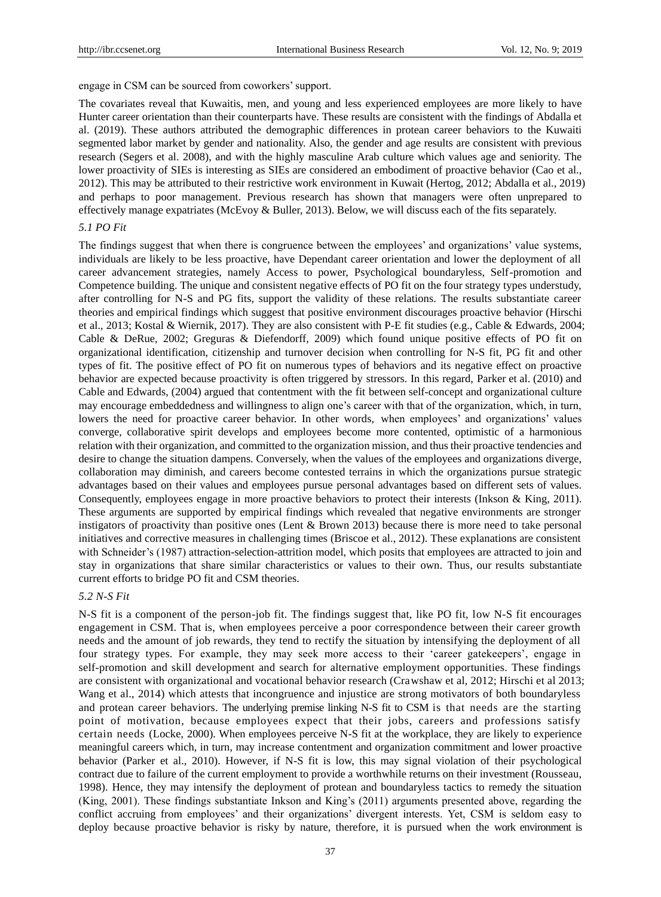engage in CSM can be sourced from coworkers' support.

The covariates reveal that Kuwaitis, men, and young and less experienced employees are more likely to have Hunter career orientation than their counterparts have. These results are consistent with the findings of Abdalla et al. (2019). These authors attributed the demographic differences in protean career behaviors to the Kuwaiti segmented labor market by gender and nationality. Also, the gender and age results are consistent with previous research (Segers et al. 2008), and with the highly masculine Arab culture which values age and seniority. The lower proactivity of SIEs is interesting as SIEs are considered an embodiment of proactive behavior (Cao et al., 2012). This may be attributed to their restrictive work environment in Kuwait (Hertog, 2012; Abdalla et al., 2019) and perhaps to poor management. Previous research has shown that managers were often unprepared to effectively manage expatriates (McEvoy & Buller, 2013). Below, we will discuss each of the fits separately.

# *5.1 PO Fit*

The findings suggest that when there is congruence between the employees' and organizations' value systems, individuals are likely to be less proactive, have Dependant career orientation and lower the deployment of all career advancement strategies, namely Access to power, Psychological boundaryless, Self-promotion and Competence building. The unique and consistent negative effects of PO fit on the four strategy types understudy, after controlling for N-S and PG fits, support the validity of these relations. The results substantiate career theories and empirical findings which suggest that positive environment discourages proactive behavior (Hirschi et al., 2013; Kostal & Wiernik, 2017). They are also consistent with P-E fit studies (e.g., Cable & Edwards, 2004; Cable & DeRue, 2002; Greguras & Diefendorff, 2009) which found unique positive effects of PO fit on organizational identification, citizenship and turnover decision when controlling for N-S fit, PG fit and other types of fit. The positive effect of PO fit on numerous types of behaviors and its negative effect on proactive behavior are expected because proactivity is often triggered by stressors. In this regard, Parker et al. (2010) and Cable and Edwards, (2004) argued that contentment with the fit between self-concept and organizational culture may encourage embeddedness and willingness to align one"s career with that of the organization, which, in turn, lowers the need for proactive career behavior. In other words, when employees' and organizations' values converge, collaborative spirit develops and employees become more contented, optimistic of a harmonious relation with their organization, and committed to the organization mission, and thus their proactive tendencies and desire to change the situation dampens. Conversely, when the values of the employees and organizations diverge, collaboration may diminish, and careers become contested terrains in which the organizations pursue strategic advantages based on their values and employees pursue personal advantages based on different sets of values. Consequently, employees engage in more proactive behaviors to protect their interests (Inkson & King, 2011). These arguments are supported by empirical findings which revealed that negative environments are stronger instigators of proactivity than positive ones (Lent & Brown 2013) because there is more need to take personal initiatives and corrective measures in challenging times (Briscoe et al., 2012). These explanations are consistent with Schneider's (1987) attraction-selection-attrition model, which posits that employees are attracted to join and stay in organizations that share similar characteristics or values to their own. Thus, our results substantiate current efforts to bridge PO fit and CSM theories.

#### *5.2 N-S Fit*

N-S fit is a component of the person-job fit. The findings suggest that, like PO fit, low N-S fit encourages engagement in CSM. That is, when employees perceive a poor correspondence between their career growth needs and the amount of job rewards, they tend to rectify the situation by intensifying the deployment of all four strategy types. For example, they may seek more access to their 'career gatekeepers', engage in self-promotion and skill development and search for alternative employment opportunities. These findings are consistent with organizational and vocational behavior research (Crawshaw et al, 2012; Hirschi et al 2013; Wang et al., 2014) which attests that incongruence and injustice are strong motivators of both boundaryless and protean career behaviors. The underlying premise linking N-S fit to CSM is that needs are the starting point of motivation, because employees expect that their jobs, careers and professions satisfy certain needs (Locke, 2000). When employees perceive N-S fit at the workplace, they are likely to experience meaningful careers which, in turn, may increase contentment and organization commitment and lower proactive behavior (Parker et al., 2010). However, if N-S fit is low, this may signal violation of their psychological contract due to failure of the current employment to provide a worthwhile returns on their investment (Rousseau, 1998). Hence, they may intensify the deployment of protean and boundaryless tactics to remedy the situation (King, 2001). These findings substantiate Inkson and King"s (2011) arguments presented above, regarding the conflict accruing from employees" and their organizations" divergent interests. Yet, CSM is seldom easy to deploy because proactive behavior is risky by nature, therefore, it is pursued when the work environment is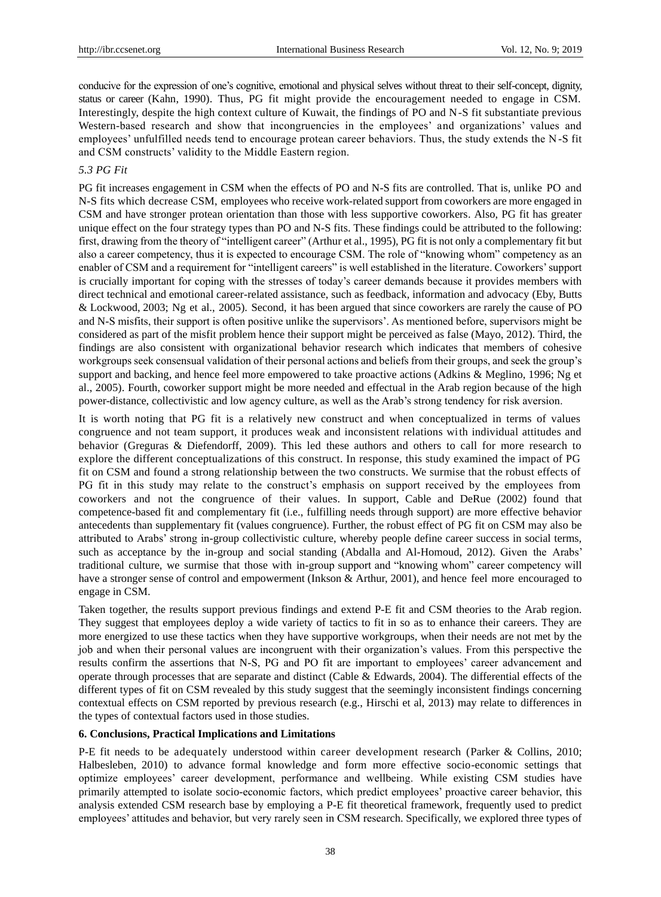conducive for the expression of one"s cognitive, emotional and physical selves without threat to their self-concept, dignity, status or career (Kahn, 1990). Thus, PG fit might provide the encouragement needed to engage in CSM. Interestingly, despite the high context culture of Kuwait, the findings of PO and N-S fit substantiate previous Western-based research and show that incongruencies in the employees' and organizations' values and employees' unfulfilled needs tend to encourage protean career behaviors. Thus, the study extends the N-S fit and CSM constructs' validity to the Middle Eastern region.

## *5.3 PG Fit*

PG fit increases engagement in CSM when the effects of PO and N-S fits are controlled. That is, unlike PO and N-S fits which decrease CSM, employees who receive work-related support from coworkers are more engaged in CSM and have stronger protean orientation than those with less supportive coworkers. Also, PG fit has greater unique effect on the four strategy types than PO and N-S fits. These findings could be attributed to the following: first, drawing from the theory of "intelligent career" (Arthur et al., 1995), PG fit is not only a complementary fit but also a career competency, thus it is expected to encourage CSM. The role of "knowing whom" competency as an enabler of CSM and a requirement for "intelligent careers" is well established in the literature. Coworkers" support is crucially important for coping with the stresses of today"s career demands because it provides members with direct technical and emotional career-related assistance, such as feedback, information and advocacy (Eby, Butts & Lockwood, 2003; Ng et al., 2005). Second, it has been argued that since coworkers are rarely the cause of PO and N-S misfits, their support is often positive unlike the supervisors". As mentioned before, supervisors might be considered as part of the misfit problem hence their support might be perceived as false (Mayo, 2012). Third, the findings are also consistent with organizational behavior research which indicates that members of cohesive workgroups seek consensual validation of their personal actions and beliefs from their groups, and seek the group"s support and backing, and hence feel more empowered to take proactive actions (Adkins & Meglino, 1996; Ng et al., 2005). Fourth, coworker support might be more needed and effectual in the Arab region because of the high power-distance, collectivistic and low agency culture, as well as the Arab's strong tendency for risk aversion.

It is worth noting that PG fit is a relatively new construct and when conceptualized in terms of values congruence and not team support, it produces weak and inconsistent relations with individual attitudes and behavior (Greguras & Diefendorff, 2009). This led these authors and others to call for more research to explore the different conceptualizations of this construct. In response, this study examined the impact of PG fit on CSM and found a strong relationship between the two constructs. We surmise that the robust effects of PG fit in this study may relate to the construct's emphasis on support received by the employees from coworkers and not the congruence of their values. In support, Cable and DeRue (2002) found that competence-based fit and complementary fit (i.e., fulfilling needs through support) are more effective behavior antecedents than supplementary fit (values congruence). Further, the robust effect of PG fit on CSM may also be attributed to Arabs" strong in-group collectivistic culture, whereby people define career success in social terms, such as acceptance by the in-group and social standing (Abdalla and Al-Homoud, 2012). Given the Arabs' traditional culture, we surmise that those with in-group support and "knowing whom" career competency will have a stronger sense of control and empowerment (Inkson & Arthur, 2001), and hence feel more encouraged to engage in CSM.

Taken together, the results support previous findings and extend P-E fit and CSM theories to the Arab region. They suggest that employees deploy a wide variety of tactics to fit in so as to enhance their careers. They are more energized to use these tactics when they have supportive workgroups, when their needs are not met by the job and when their personal values are incongruent with their organization"s values. From this perspective the results confirm the assertions that N-S, PG and PO fit are important to employees" career advancement and operate through processes that are separate and distinct (Cable & Edwards, 2004). The differential effects of the different types of fit on CSM revealed by this study suggest that the seemingly inconsistent findings concerning contextual effects on CSM reported by previous research (e.g., Hirschi et al, 2013) may relate to differences in the types of contextual factors used in those studies.

#### **6. Conclusions, Practical Implications and Limitations**

P-E fit needs to be adequately understood within career development research (Parker & Collins, 2010; Halbesleben, 2010) to advance formal knowledge and form more effective socio-economic settings that optimize employees" career development, performance and wellbeing. While existing CSM studies have primarily attempted to isolate socio-economic factors, which predict employees" proactive career behavior, this analysis extended CSM research base by employing a P-E fit theoretical framework, frequently used to predict employees" attitudes and behavior, but very rarely seen in CSM research. Specifically, we explored three types of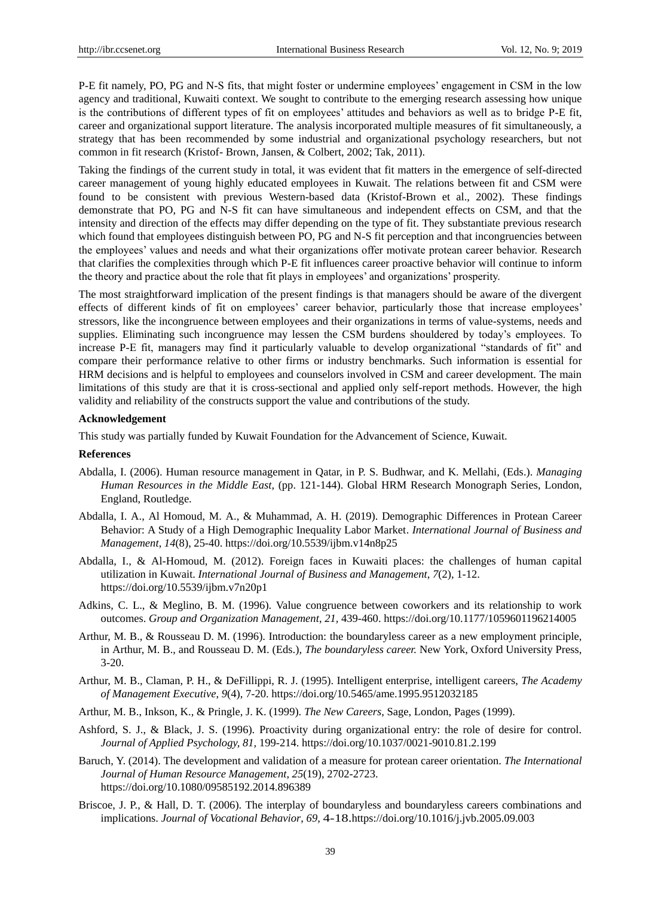P-E fit namely, PO, PG and N-S fits, that might foster or undermine employees' engagement in CSM in the low agency and traditional, Kuwaiti context. We sought to contribute to the emerging research assessing how unique is the contributions of different types of fit on employees' attitudes and behaviors as well as to bridge P-E fit, career and organizational support literature. The analysis incorporated multiple measures of fit simultaneously, a strategy that has been recommended by some industrial and organizational psychology researchers, but not common in fit research (Kristof- Brown, Jansen, & Colbert, 2002; Tak, 2011).

Taking the findings of the current study in total, it was evident that fit matters in the emergence of self-directed career management of young highly educated employees in Kuwait. The relations between fit and CSM were found to be consistent with previous Western-based data (Kristof-Brown et al., 2002). These findings demonstrate that PO, PG and N-S fit can have simultaneous and independent effects on CSM, and that the intensity and direction of the effects may differ depending on the type of fit. They substantiate previous research which found that employees distinguish between PO, PG and N-S fit perception and that incongruencies between the employees" values and needs and what their organizations offer motivate protean career behavior. Research that clarifies the complexities through which P-E fit influences career proactive behavior will continue to inform the theory and practice about the role that fit plays in employees" and organizations" prosperity.

The most straightforward implication of the present findings is that managers should be aware of the divergent effects of different kinds of fit on employees' career behavior, particularly those that increase employees' stressors, like the incongruence between employees and their organizations in terms of value-systems, needs and supplies. Eliminating such incongruence may lessen the CSM burdens shouldered by today"s employees. To increase P-E fit, managers may find it particularly valuable to develop organizational "standards of fit" and compare their performance relative to other firms or industry benchmarks. Such information is essential for HRM decisions and is helpful to employees and counselors involved in CSM and career development. The main limitations of this study are that it is cross-sectional and applied only self-report methods. However, the high validity and reliability of the constructs support the value and contributions of the study.

#### **Acknowledgement**

This study was partially funded by Kuwait Foundation for the Advancement of Science, Kuwait.

## **References**

- Abdalla, I. (2006). Human resource management in Qatar, in P. S. Budhwar, and K. Mellahi, (Eds.). *Managing Human Resources in the Middle East*, (pp. 121-144). Global HRM Research Monograph Series, London, England, Routledge.
- Abdalla, I. A., Al Homoud, M. A., & Muhammad, A. H. (2019). Demographic Differences in Protean Career Behavior: A Study of a High Demographic Inequality Labor Market. *International Journal of Business and Management*, *14*(8), 25-40. https://doi.org/10.5539/ijbm.v14n8p25
- Abdalla, I., & Al-Homoud, M. (2012). Foreign faces in Kuwaiti places: the challenges of human capital utilization in Kuwait. *International Journal of Business and Management*, *7*(2), 1-12. <https://doi.org/10.5539/ijbm.v7n20p1>
- Adkins, C. L., & Meglino, B. M. (1996). Value congruence between coworkers and its relationship to work outcomes. *Group and Organization Management*, *21,* 439-460. [https://doi.org/10.1177/1059601196214005](https://doi.org/10.1177%2F1059601196214005)
- Arthur, M. B., & Rousseau D. M. (1996). Introduction: the boundaryless career as a new employment principle, in Arthur, M. B., and Rousseau D. M. (Eds.), *The boundaryless career.* New York, Oxford University Press, 3-20.
- Arthur, M. B., Claman, P. H., & DeFillippi, R. J. (1995). Intelligent enterprise, intelligent careers, *The Academy of Management Executive*, *9*(4), 7-20[. https://doi.org/10.5465/ame.1995.9512032185](https://doi.org/10.5465/ame.1995.9512032185)
- Arthur, M. B., Inkson, K., & Pringle, J. K. (1999). *The New Careers*, Sage, London, Pages (1999).
- Ashford, S. J., & Black, J. S. (1996). Proactivity during organizational entry: the role of desire for control. *Journal of Applied Psychology, 81,* 199-214. https://doi.org/10.1037/0021-9010.81.2.199
- Baruch, Y. (2014). The development and validation of a measure for protean career orientation. *The International Journal of Human Resource Management*, *25*(19), 2702-2723. <https://doi.org/10.1080/09585192.2014.896389>
- Briscoe, J. P., & Hall, D. T. (2006). The interplay of boundaryless and boundaryless careers combinations and implications. *Journal of Vocational Behavior*, *69,* 4-18[.https://doi.org/10.1016/j.jvb.2005.09.003](https://doi.org/10.1016/j.jvb.2005.09.003)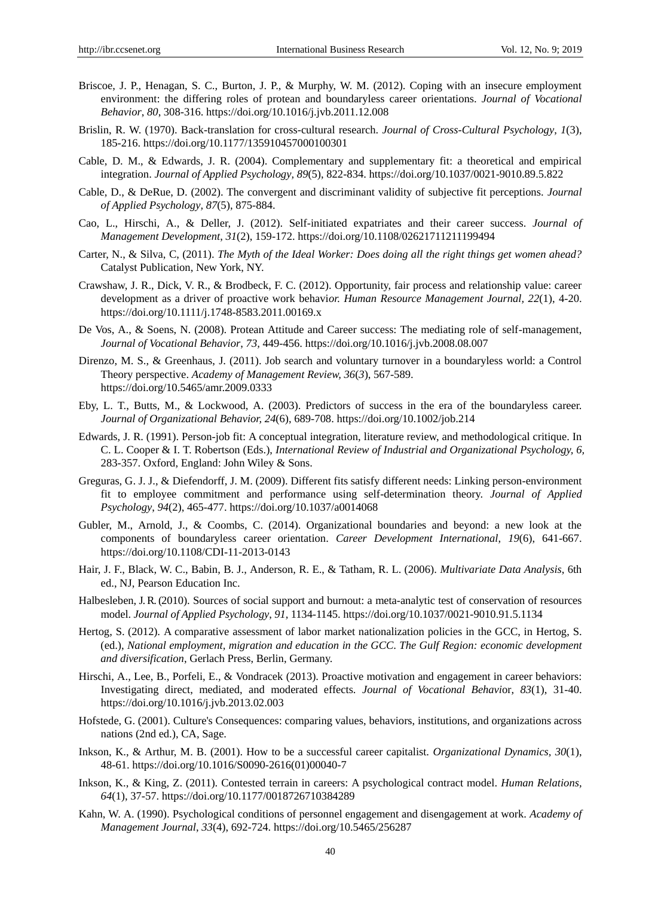- Briscoe, J. P., Henagan, S. C., Burton, J. P., & Murphy, W. M. (2012). Coping with an insecure employment environment: the differing roles of protean and boundaryless career orientations. *Journal of Vocational Behavior*, *80*, 308-316. https://doi.org/10.1016/j.jvb.2011.12.008
- Brislin, R. W. (1970). Back-translation for cross-cultural research. *Journal of Cross-Cultural Psychology*, *1*(3), 185-216. [https://doi.org/10.1177/135910457000100301](https://doi.org/10.1177%2F135910457000100301)
- Cable, D. M., & Edwards, J. R. (2004). Complementary and supplementary fit: a theoretical and empirical integration. *Journal of Applied Psychology, 89*(5), 822-834. https://doi.org/10.1037/0021-9010.89.5.822
- Cable, D., & DeRue, D. (2002). The convergent and discriminant validity of subjective fit perceptions. *Journal of Applied Psychology, 87*(5), 875-884.
- Cao, L., Hirschi, A., & Deller, J. (2012). Self-initiated expatriates and their career success. *Journal of Management Development*, *31*(2), 159-172.<https://doi.org/10.1108/02621711211199494>
- Carter, N., & Silva, C, (2011). *The Myth of the Ideal Worker: Does doing all the right things get women ahead?* Catalyst Publication, New York, NY.
- Crawshaw, J. R., Dick, V. R., & Brodbeck, F. C. (2012). Opportunity, fair process and relationship value: career development as a driver of proactive work behavi*or. Human Resource Management Journal, 22*(1), 4-20. https://doi.org/10.1111/j.1748-8583.2011.00169.x
- De Vos, A., & Soens, N. (2008). Protean Attitude and Career success: The mediating role of self-management, *Journal of Vocational Behavior*, *73,* 449-456.<https://doi.org/10.1016/j.jvb.2008.08.007>
- [Direnzo,](https://journals.aom.org/doi/abs/10.5465/amr.2009.0333) M. S., & [Greenhaus,](https://journals.aom.org/doi/abs/10.5465/amr.2009.0333) J. (2011). [Job search and voluntary turnover in a boundaryless world: a Control](https://journals.aom.org/doi/full/10.5465/amr.2009.0333)  [Theory perspective.](https://journals.aom.org/doi/full/10.5465/amr.2009.0333) *A[cademy of Management Review,](file:///C:/Users/Prof.%20Ikhlas%20Abdalla/Documents/ademy%20of%20Management%20Review) [36](file:///C:/Users/Prof.%20Ikhlas%20Abdalla/AppData/Local/Temp/36(3)*(*3*), 567-589. <https://doi.org/10.5465/amr.2009.0333>
- Eby, L. T., Butts, M., & Lockwood, A. (2003). Predictors of success in the era of the boundaryless career. *[Journal of Organizational Behavior,](http://www.emeraldinsight.com/action/showLinks?crossref=10.1002%2Fjob.214&isi=000185122000002) 24*(6), 689-708[. https://doi.org/10.1002/job.214](https://doi.org/10.1002/job.214)
- Edwards, J. R. (1991). Person-job fit: A conceptual integration, literature review, and methodological critique. In C. L. Cooper & I. T. Robertson (Eds.), *International Review of Industrial and Organizational Psychology, 6,*  283-357. Oxford, England: John Wiley & Sons.
- Greguras, G. J. J., & Diefendorff, J. M. (2009). Different fits satisfy different needs: Linking person-environment fit to employee commitment and performance using self-determination theory. *Journal of Applied Psychology*, *94*(2), 465-477. https://doi.org/10.1037/a0014068
- Gubler, M., Arnold, J., & Coombs, C. (2014). Organizational boundaries and beyond: a new look at the components of boundaryless career orientation. *Career Development International*, *19*(6), 641-667. https://doi.org/10.1108/CDI-11-2013-0143
- Hair, J. F., Black, W. C., Babin, B. J., Anderson, R. E., & Tatham, R. L. (2006). *Multivariate Data Analysis*, 6th ed., NJ, Pearson Education Inc.
- Halbesleben, J.R. (2010). Sources of social support and burnout: a meta-analytic test of conservation of resources model. *Journal of Applied Psychology*, *91,* 1134-1145. https://doi.org/10.1037/0021-9010.91.5.1134
- Hertog, S. (2012). A comparative assessment of labor market nationalization policies in the GCC, in Hertog, S. (ed.), *National employment, migration and education in the GCC*. *The Gulf Region: economic development and diversification*, Gerlach Press, Berlin, Germany.
- Hirschi, A., Lee, B., Porfeli, E., & Vondracek (2013). Proactive motivation and engagement in career behaviors: Investigating direct, mediated, and moderated effects. *Journal of Vocational Behavi*or, *83*(1), 31-40. <https://doi.org/10.1016/j.jvb.2013.02.003>
- Hofstede, G. (2001). Culture's Consequences: comparing values, behaviors, institutions, and organizations across nations (2nd ed.), CA, Sage.
- Inkson, K., & Arthur, M. B. (2001). How to be a successful career capitalist. *Organizational Dynamics, 30*(1), 48-61. https://doi.org/10.1016/S0090-2616(01)00040-7
- Inkson, K., & King, Z. (2011). Contested terrain in careers: A psychological contract model. *Human Relations, 64*(1), 37-57. https://doi.org/10.1177/0018726710384289
- Kahn, W. A. (1990). Psychological conditions of personnel engagement and disengagement at work. *Academy of Management Journal*, *33*(4), 692-724[. https://doi.org/10.5465/256287](https://doi.org/10.5465/256287)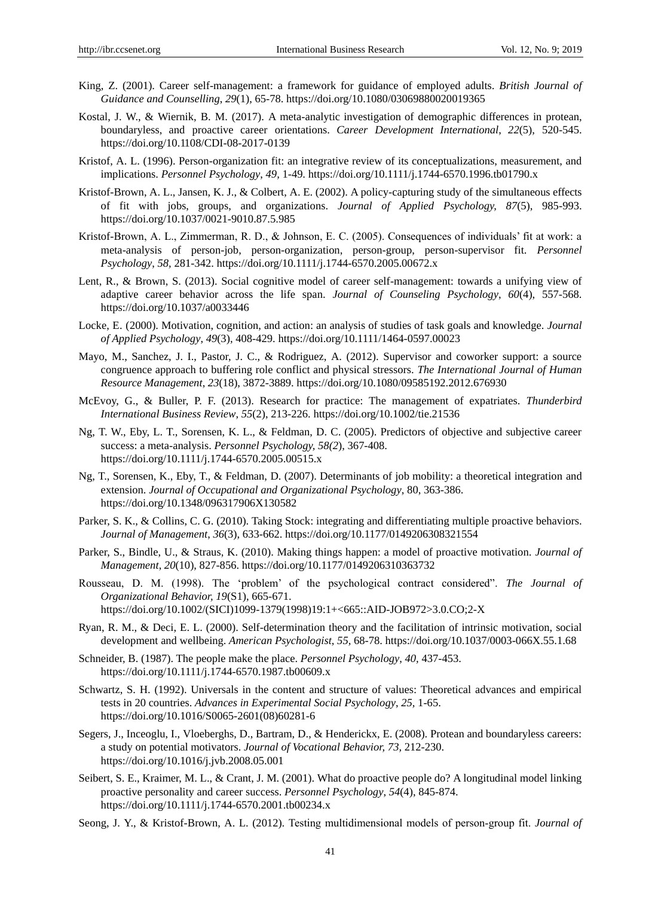- King, Z. (2001). Career self-management: a framework for guidance of employed adults. *British Journal of Guidance and Counselling*, *29*(1), 65-78.<https://doi.org/10.1080/03069880020019365>
- Kostal, J. W., & Wiernik, B. M. (2017). A meta-analytic investigation of demographic differences in protean, boundaryless, and proactive career orientations. *Career Development International*, *22*(5), 520-545. <https://doi.org/10.1108/CDI-08-2017-0139>
- Kristof, A. L. (1996). Person-organization fit: an integrative review of its conceptualizations, measurement, and implications. *Personnel Psychology*, *49,* 1-49.<https://doi.org/10.1111/j.1744-6570.1996.tb01790.x>
- Kristof-Brown, A. L., Jansen, K. J., & Colbert, A. E. (2002). A policy-capturing study of the simultaneous effects of fit with jobs, groups, and organizations. *Journal of Applied Psychology, 87*(5), 985-993. https://doi.org/10.1037/0021-9010.87.5.985
- Kristof-Brown, A. L., Zimmerman, R. D., & Johnson, E. C. (2005). Consequences of individuals" fit at work: a meta-analysis of person-job, person-organization, person-group, person-supervisor fit. *Personnel Psychology*, *58,* 281-342.<https://doi.org/10.1111/j.1744-6570.2005.00672.x>
- Lent, R., & Brown, S. (2013). Social cognitive model of career self-management: towards a unifying view of adaptive career behavior across the life span. *Journal of Counseling Psychology*, *60*(4), 557-568. https://doi.org/10.1037/a0033446
- Locke, E. (2000). Motivation, cognition, and action: an analysis of studies of task goals and knowledge. *Journal of Applied Psychology*, *49*(3), 408-429. https://doi.org/10.1111/1464-0597.00023
- Mayo, M., Sanchez, J. I., Pastor, J. C., & Rodriguez, A. (2012). Supervisor and coworker support: a source congruence approach to buffering role conflict and physical stressors. *The International Journal of Human Resource Management*, *23*(18), 3872-3889. https://doi.org/10.1080/09585192.2012.676930
- McEvoy, G., & Buller, P. F. (2013). Research for practice: The management of expatriates. *Thunderbird International Business Review*, *55*(2), 213-226. https://doi.org/10.1002/tie.21536
- Ng, T. W., Eby, L. T., Sorensen, K. L., & Feldman, D. C. (2005). Predictors of objective and subjective career success: a meta-analysis. *Personnel Psychology[, 58\(2](file:///C:/Users/Prof.%20Ikhlas%20Abdalla/AppData/Local/Temp/58(2)*), 367-408. <https://doi.org/10.1111/j.1744-6570.2005.00515.x>
- Ng, T., Sorensen, K., Eby, T., & Feldman, D. (2007). Determinants of job mobility: a theoretical integration and extension. *Journal of Occupational and Organizational Psychology*, 80, 363-386. <https://doi.org/10.1348/096317906X130582>
- Parker, S. K., & Collins, C. G. (2010). Taking Stock: integrating and differentiating multiple proactive behaviors. *Journal of Management*, *36*(3), 633-662. https://doi.org/10.1177/0149206308321554
- Parker, S., Bindle, U., & Straus, K. (2010). Making things happen: a model of proactive motivation. *Journal of Management*, *20*(10), 827-856. https://doi.org/10.1177/0149206310363732
- Rousseau, D. M. (1998). The "problem" of the psychological contract considered". *The Journal of Organizational Behavior, 19*(S1), 665-671. [https://doi.org/10.1002/\(SICI\)1099-1379\(1998\)19:1+<665::AID-JOB972>3.0.CO;2-X](https://doi.org/10.1002/(SICI)1099-1379(1998)19:1+%3c665::AID-JOB972%3e3.0.CO;2-X)
- Ryan, R. M., & Deci, E. L. (2000). Self-determination theory and the facilitation of intrinsic motivation, social development and wellbeing. *American Psychologist*, *55,* 68-78. https://doi.org/10.1037/0003-066X.55.1.68
- Schneider, B. (1987). The people make the place. *Personnel Psychology*, *40,* 437-453. <https://doi.org/10.1111/j.1744-6570.1987.tb00609.x>
- Schwartz, S. H. (1992). Universals in the content and structure of values: Theoretical advances and empirical tests in 20 countries. *Advances in Experimental Social Psychology*, *25,* 1-65. [https://doi.org/10.1016/S0065-2601\(08\)60281-6](https://doi.org/10.1016/S0065-2601(08)60281-6)
- Segers, J., Inceoglu, I., Vloeberghs, D., Bartram, D., & Henderickx, E. (2008). Protean and boundaryless careers: a study on potential motivators. *Journal of Vocational Behavior, 73,* 212-230. https://doi.org/10.1016/j.jvb.2008.05.001
- Seibert, S. E., Kraimer, M. L., & Crant, J. M. (2001). What do proactive people do? A longitudinal model linking proactive personality and career success. *Personnel Psychology*, *54*(4), 845-874. <https://doi.org/10.1111/j.1744-6570.2001.tb00234.x>
- Seong, J. Y., & Kristof-Brown, A. L. (2012). Testing multidimensional models of person‐group fit. *Journal of*